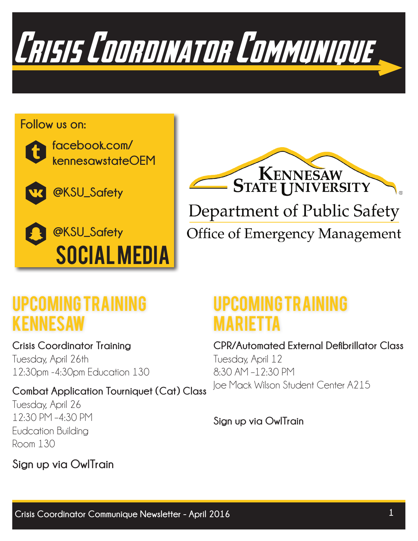

#### **Follow us on:**



**facebook.com/ kennesawstateOEM**



**@KSU\_Safety**





**Office of Emergency Management** 

## Upcoming Training kENNESAW

**Crisis Coordinator Training** Tuesday, April 26th 12:30pm -4:30pm Education 130

**Combat Application Tourniquet (Cat) Class** Tuesday, April 26 12:30 PM –4:30 PM Eudcation Building

## Upcoming Training mARIETTA

#### **CPR/Automated External Defibrillator Class**

Tuesday, April 12 8:30 AM –12:30 PM Joe Mack Wilson Student Center A215

**Sign up via OwlTrain**

**Sign up via OwlTrain**

Room 130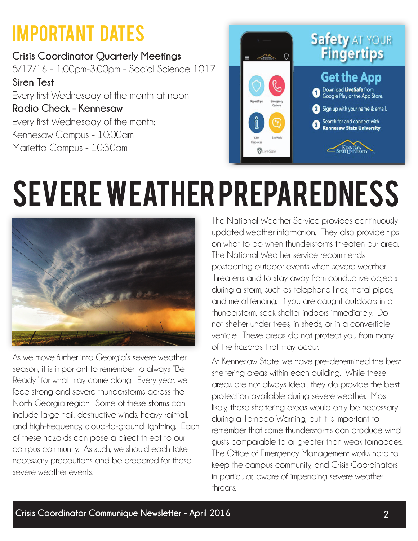## Important Dates

**Crisis Coordinator Quarterly Meetings** 5/17/16 - 1:00pm-3:00pm - Social Science 1017 **Siren Test** Every first Wednesday of the month at noon **Radio Check - Kennesaw** Every first Wednesday of the month: Kennesaw Campus - 10:00am Marietta Campus - 10:30am



## SEVERE WEATHER PREPAREDNESS



As we move further into Georgia's severe weather season, it is important to remember to always "Be Ready" for what may come along. Every year, we face strong and severe thunderstorms across the North Georgia region. Some of these storms can include large hail, destructive winds, heavy rainfall, and high-frequency, cloud-to-ground lightning. Each of these hazards can pose a direct threat to our campus community. As such, we should each take necessary precautions and be prepared for these severe weather events.

The National Weather Service provides continuously updated weather information. They also provide tips on what to do when thunderstorms threaten our area. The National Weather service recommends postponing outdoor events when severe weather threatens and to stay away from conductive objects during a storm, such as telephone lines, metal pipes, and metal fencing. If you are caught outdoors in a thunderstorm, seek shelter indoors immediately. Do not shelter under trees, in sheds, or in a convertible vehicle. These areas do not protect you from many of the hazards that may occur.

At Kennesaw State, we have pre-determined the best sheltering areas within each building. While these areas are not always ideal, they do provide the best protection available during severe weather. Most likely, these sheltering areas would only be necessary during a Tornado Warning, but it is important to remember that some thunderstorms can produce wind gusts comparable to or greater than weak tornadoes. The Office of Emergency Management works hard to keep the campus community, and Crisis Coordinators in particular, aware of impending severe weather threats.